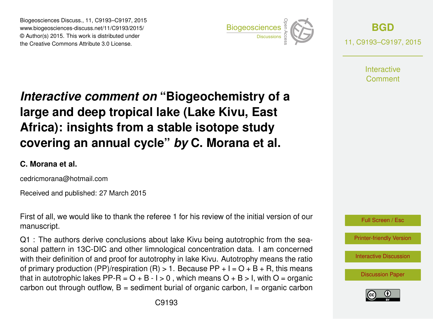Biogeosciences Discuss., 11, C9193–C9197, 2015 www.biogeosciences-discuss.net/11/C9193/2015/ © Author(s) 2015. This work is distributed under Biogeosciences Discuss., 11, C9193–C9197, 2015<br>
www.biogeosciences-discuss.net/11/C9193/2015/<br>
© Author(s) 2015. This work is distributed under<br>
the Creative Commons Attribute 3.0 License.



**[BGD](http://www.biogeosciences-discuss.net)** 11, C9193–C9197, 2015

> **Interactive** Comment

# *Interactive comment on* **"Biogeochemistry of a large and deep tropical lake (Lake Kivu, East Africa): insights from a stable isotope study covering an annual cycle"** *by* **C. Morana et al.**

#### **C. Morana et al.**

cedricmorana@hotmail.com

Received and published: 27 March 2015

First of all, we would like to thank the referee 1 for his review of the initial version of our manuscript.

Q1 : The authors derive conclusions about lake Kivu being autotrophic from the seasonal pattern in 13C-DIC and other limnological concentration data. I am concerned with their definition of and proof for autotrophy in lake Kivu. Autotrophy means the ratio of primary production (PP)/respiration (R)  $> 1$ . Because PP + I = O + B + R, this means that in autotrophic lakes PP-R =  $O + B - I > 0$ , which means  $O + B > I$ , with  $O =$  organic carbon out through outflow,  $B =$  sediment burial of organic carbon,  $I =$  organic carbon



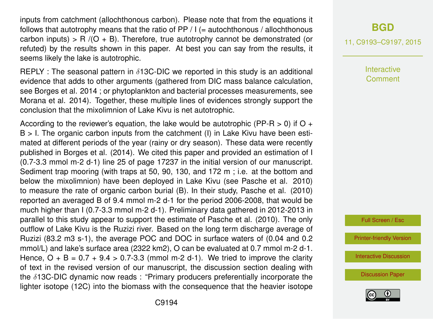inputs from catchment (allochthonous carbon). Please note that from the equations it follows that autotrophy means that the ratio of  $PP / I (=$  autochthonous / allochthonous carbon inputs) > R  $/(O + B)$ . Therefore, true autotrophy cannot be demonstrated (or refuted) by the results shown in this paper. At best you can say from the results, it seems likely the lake is autotrophic.

REPLY : The seasonal pattern in  $\delta$ 13C-DIC we reported in this study is an additional evidence that adds to other arguments (gathered from DIC mass balance calculation, see Borges et al. 2014 ; or phytoplankton and bacterial processes measurements, see Morana et al. 2014). Together, these multiple lines of evidences strongly support the conclusion that the mixolimnion of Lake Kivu is net autotrophic.

According to the reviewer's equation, the lake would be autotrophic (PP-R  $>$  0) if O +  $B > I$ . The organic carbon inputs from the catchment (I) in Lake Kivu have been estimated at different periods of the year (rainy or dry season). These data were recently published in Borges et al. (2014). We cited this paper and provided an estimation of I (0.7-3.3 mmol m-2 d-1) line 25 of page 17237 in the initial version of our manuscript. Sediment trap mooring (with traps at 50, 90, 130, and 172 m ; i.e. at the bottom and below the mixolimnion) have been deployed in Lake Kivu (see Pasche et al. 2010) to measure the rate of organic carbon burial (B). In their study, Pasche et al. (2010) reported an averaged B of 9.4 mmol m-2 d-1 for the period 2006-2008, that would be much higher than I (0.7-3.3 mmol m-2 d-1). Preliminary data gathered in 2012-2013 in parallel to this study appear to support the estimate of Pasche et al. (2010). The only outflow of Lake Kivu is the Ruzizi river. Based on the long term discharge average of Ruzizi (83.2 m3 s-1), the average POC and DOC in surface waters of (0.04 and 0.2 mmol/L) and lake's surface area (2322 km2), O can be evaluated at 0.7 mmol m-2 d-1. Hence,  $Q + B = 0.7 + 9.4 > 0.7 - 3.3$  (mmol m-2 d-1). We tried to improve the clarity of text in the revised version of our manuscript, the discussion section dealing with the  $\delta$ 13C-DIC dynamic now reads : "Primary producers preferentially incorporate the lighter isotope (12C) into the biomass with the consequence that the heavier isotope

### **[BGD](http://www.biogeosciences-discuss.net)**

11, C9193–C9197, 2015

**Interactive Comment** 

Full Screen / Esc

[Printer-friendly Version](http://www.biogeosciences-discuss.net/11/C9193/2015/bgd-11-C9193-2015-print.pdf)

[Interactive Discussion](http://www.biogeosciences-discuss.net/11/17227/2014/bgd-11-17227-2014-discussion.html)

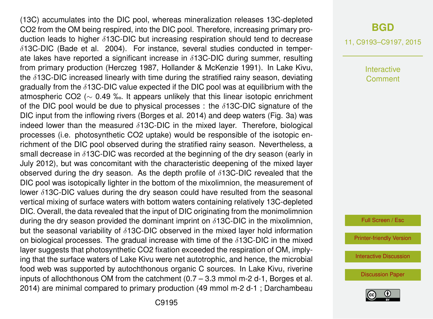(13C) accumulates into the DIC pool, whereas mineralization releases 13C-depleted CO2 from the OM being respired, into the DIC pool. Therefore, increasing primary production leads to higher δ13C-DIC but increasing respiration should tend to decrease  $\delta$ 13C-DIC (Bade et al. 2004). For instance, several studies conducted in temperate lakes have reported a significant increase in  $\delta$ 13C-DIC during summer, resulting from primary production (Herczeg 1987, Hollander & McKenzie 1991). In Lake Kivu, the  $\delta$ 13C-DIC increased linearly with time during the stratified rainy season, deviating gradually from the  $\delta$ 13C-DIC value expected if the DIC pool was at equilibrium with the atmospheric CO2 (∼ 0.49 ‰. It appears unlikely that this linear isotopic enrichment of the DIC pool would be due to physical processes : the  $\delta$ 13C-DIC signature of the DIC input from the inflowing rivers (Borges et al. 2014) and deep waters (Fig. 3a) was indeed lower than the measured  $\delta$ 13C-DIC in the mixed layer. Therefore, biological processes (i.e. photosynthetic CO2 uptake) would be responsible of the isotopic enrichment of the DIC pool observed during the stratified rainy season. Nevertheless, a small decrease in  $\delta$ 13C-DIC was recorded at the beginning of the dry season (early in July 2012), but was concomitant with the characteristic deepening of the mixed layer observed during the dry season. As the depth profile of  $\delta$ 13C-DIC revealed that the DIC pool was isotopically lighter in the bottom of the mixolimnion, the measurement of lower  $\delta$ 13C-DIC values during the dry season could have resulted from the seasonal vertical mixing of surface waters with bottom waters containing relatively 13C-depleted DIC. Overall, the data revealed that the input of DIC originating from the monimolimnion during the dry season provided the dominant imprint on  $\delta$ 13C-DIC in the mixolimnion, but the seasonal variability of  $\delta$ 13C-DIC observed in the mixed layer hold information on biological processes. The gradual increase with time of the  $\delta$ 13C-DIC in the mixed layer suggests that photosynthetic CO2 fixation exceeded the respiration of OM, implying that the surface waters of Lake Kivu were net autotrophic, and hence, the microbial food web was supported by autochthonous organic C sources. In Lake Kivu, riverine inputs of allochthonous OM from the catchment (0.7 – 3.3 mmol m-2 d-1, Borges et al. 2014) are minimal compared to primary production (49 mmol m-2 d-1 ; Darchambeau

#### **[BGD](http://www.biogeosciences-discuss.net)**

11, C9193–C9197, 2015

Interactive Comment

Full Screen / Esc

[Printer-friendly Version](http://www.biogeosciences-discuss.net/11/C9193/2015/bgd-11-C9193-2015-print.pdf)

[Interactive Discussion](http://www.biogeosciences-discuss.net/11/17227/2014/bgd-11-17227-2014-discussion.html)

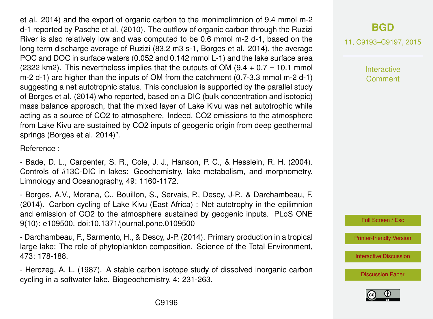et al. 2014) and the export of organic carbon to the monimolimnion of 9.4 mmol m-2 d-1 reported by Pasche et al. (2010). The outflow of organic carbon through the Ruzizi River is also relatively low and was computed to be 0.6 mmol m-2 d-1, based on the long term discharge average of Ruzizi (83.2 m3 s-1, Borges et al. 2014), the average POC and DOC in surface waters (0.052 and 0.142 mmol L-1) and the lake surface area (2322 km2). This nevertheless implies that the outputs of OM  $(9.4 + 0.7 = 10.1$  mmol m-2 d-1) are higher than the inputs of OM from the catchment (0.7-3.3 mmol m-2 d-1) suggesting a net autotrophic status. This conclusion is supported by the parallel study of Borges et al. (2014) who reported, based on a DIC (bulk concentration and isotopic) mass balance approach, that the mixed layer of Lake Kivu was net autotrophic while acting as a source of CO2 to atmosphere. Indeed, CO2 emissions to the atmosphere from Lake Kivu are sustained by CO2 inputs of geogenic origin from deep geothermal springs (Borges et al. 2014)".

Reference :

- Bade, D. L., Carpenter, S. R., Cole, J. J., Hanson, P. C., & Hesslein, R. H. (2004). Controls of δ13C-DIC in lakes: Geochemistry, lake metabolism, and morphometry. Limnology and Oceanography, 49: 1160-1172.

- Borges, A.V., Morana, C., Bouillon, S., Servais, P., Descy, J-P., & Darchambeau, F. (2014). Carbon cycling of Lake Kivu (East Africa) : Net autotrophy in the epilimnion and emission of CO2 to the atmosphere sustained by geogenic inputs. PLoS ONE 9(10): e109500. doi:10.1371/journal.pone.0109500

- Darchambeau, F., Sarmento, H., & Descy, J-P. (2014). Primary production in a tropical large lake: The role of phytoplankton composition. Science of the Total Environment, 473: 178-188.

- Herczeg, A. L. (1987). A stable carbon isotope study of dissolved inorganic carbon cycling in a softwater lake. Biogeochemistry, 4: 231-263.

## **[BGD](http://www.biogeosciences-discuss.net)**

11, C9193–C9197, 2015

Interactive Comment

Full Screen / Esc

[Printer-friendly Version](http://www.biogeosciences-discuss.net/11/C9193/2015/bgd-11-C9193-2015-print.pdf)

[Interactive Discussion](http://www.biogeosciences-discuss.net/11/17227/2014/bgd-11-17227-2014-discussion.html)